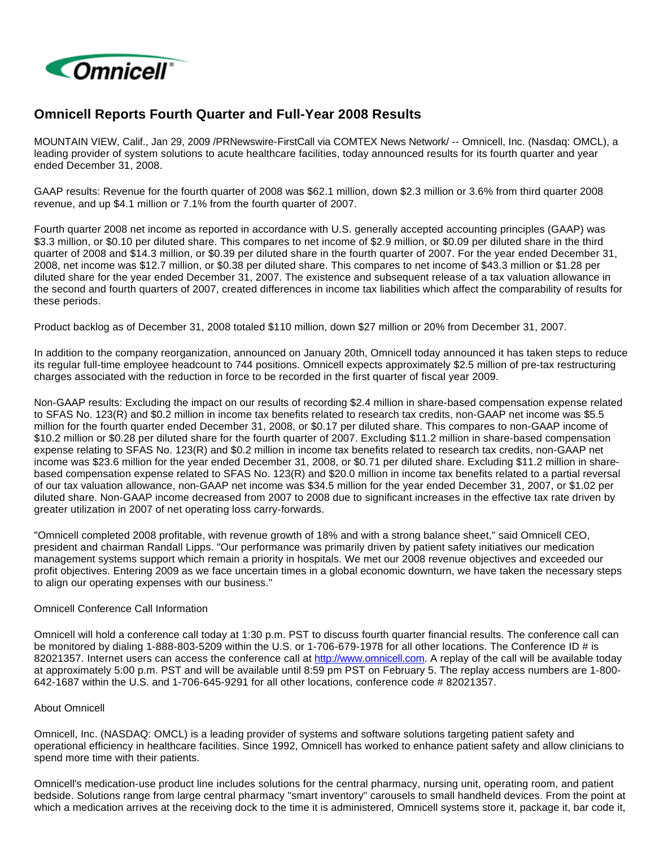

# **Omnicell Reports Fourth Quarter and Full-Year 2008 Results**

MOUNTAIN VIEW, Calif., Jan 29, 2009 /PRNewswire-FirstCall via COMTEX News Network/ -- Omnicell, Inc. (Nasdaq: OMCL), a leading provider of system solutions to acute healthcare facilities, today announced results for its fourth quarter and year ended December 31, 2008.

GAAP results: Revenue for the fourth quarter of 2008 was \$62.1 million, down \$2.3 million or 3.6% from third quarter 2008 revenue, and up \$4.1 million or 7.1% from the fourth quarter of 2007.

Fourth quarter 2008 net income as reported in accordance with U.S. generally accepted accounting principles (GAAP) was \$3.3 million, or \$0.10 per diluted share. This compares to net income of \$2.9 million, or \$0.09 per diluted share in the third quarter of 2008 and \$14.3 million, or \$0.39 per diluted share in the fourth quarter of 2007. For the year ended December 31, 2008, net income was \$12.7 million, or \$0.38 per diluted share. This compares to net income of \$43.3 million or \$1.28 per diluted share for the year ended December 31, 2007. The existence and subsequent release of a tax valuation allowance in the second and fourth quarters of 2007, created differences in income tax liabilities which affect the comparability of results for these periods.

Product backlog as of December 31, 2008 totaled \$110 million, down \$27 million or 20% from December 31, 2007.

In addition to the company reorganization, announced on January 20th, Omnicell today announced it has taken steps to reduce its regular full-time employee headcount to 744 positions. Omnicell expects approximately \$2.5 million of pre-tax restructuring charges associated with the reduction in force to be recorded in the first quarter of fiscal year 2009.

Non-GAAP results: Excluding the impact on our results of recording \$2.4 million in share-based compensation expense related to SFAS No. 123(R) and \$0.2 million in income tax benefits related to research tax credits, non-GAAP net income was \$5.5 million for the fourth quarter ended December 31, 2008, or \$0.17 per diluted share. This compares to non-GAAP income of \$10.2 million or \$0.28 per diluted share for the fourth quarter of 2007. Excluding \$11.2 million in share-based compensation expense relating to SFAS No. 123(R) and \$0.2 million in income tax benefits related to research tax credits, non-GAAP net income was \$23.6 million for the year ended December 31, 2008, or \$0.71 per diluted share. Excluding \$11.2 million in sharebased compensation expense related to SFAS No. 123(R) and \$20.0 million in income tax benefits related to a partial reversal of our tax valuation allowance, non-GAAP net income was \$34.5 million for the year ended December 31, 2007, or \$1.02 per diluted share. Non-GAAP income decreased from 2007 to 2008 due to significant increases in the effective tax rate driven by greater utilization in 2007 of net operating loss carry-forwards.

"Omnicell completed 2008 profitable, with revenue growth of 18% and with a strong balance sheet," said Omnicell CEO, president and chairman Randall Lipps. "Our performance was primarily driven by patient safety initiatives our medication management systems support which remain a priority in hospitals. We met our 2008 revenue objectives and exceeded our profit objectives. Entering 2009 as we face uncertain times in a global economic downturn, we have taken the necessary steps to align our operating expenses with our business."

# Omnicell Conference Call Information

Omnicell will hold a conference call today at 1:30 p.m. PST to discuss fourth quarter financial results. The conference call can be monitored by dialing 1-888-803-5209 within the U.S. or 1-706-679-1978 for all other locations. The Conference ID # is 82021357. Internet users can access the conference call at [http://www.omnicell.com.](http://www.omnicell.com/) A replay of the call will be available today at approximately 5:00 p.m. PST and will be available until 8:59 pm PST on February 5. The replay access numbers are 1-800- 642-1687 within the U.S. and 1-706-645-9291 for all other locations, conference code # 82021357.

#### About Omnicell

Omnicell, Inc. (NASDAQ: OMCL) is a leading provider of systems and software solutions targeting patient safety and operational efficiency in healthcare facilities. Since 1992, Omnicell has worked to enhance patient safety and allow clinicians to spend more time with their patients.

Omnicell's medication-use product line includes solutions for the central pharmacy, nursing unit, operating room, and patient bedside. Solutions range from large central pharmacy "smart inventory" carousels to small handheld devices. From the point at which a medication arrives at the receiving dock to the time it is administered, Omnicell systems store it, package it, bar code it,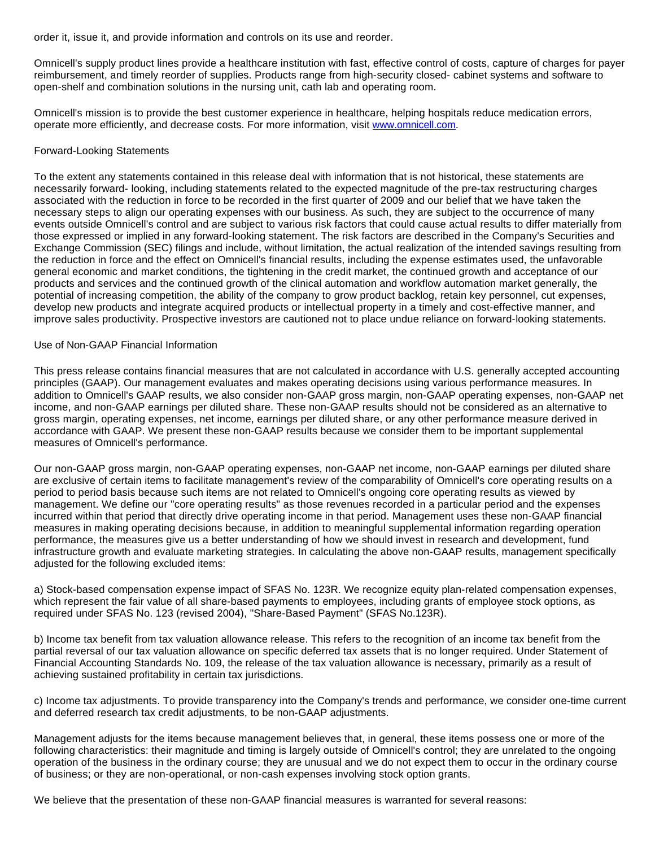order it, issue it, and provide information and controls on its use and reorder.

Omnicell's supply product lines provide a healthcare institution with fast, effective control of costs, capture of charges for payer reimbursement, and timely reorder of supplies. Products range from high-security closed- cabinet systems and software to open-shelf and combination solutions in the nursing unit, cath lab and operating room.

Omnicell's mission is to provide the best customer experience in healthcare, helping hospitals reduce medication errors, operate more efficiently, and decrease costs. For more information, visit [www.omnicell.com](http://www.omnicell.com/).

### Forward-Looking Statements

To the extent any statements contained in this release deal with information that is not historical, these statements are necessarily forward- looking, including statements related to the expected magnitude of the pre-tax restructuring charges associated with the reduction in force to be recorded in the first quarter of 2009 and our belief that we have taken the necessary steps to align our operating expenses with our business. As such, they are subject to the occurrence of many events outside Omnicell's control and are subject to various risk factors that could cause actual results to differ materially from those expressed or implied in any forward-looking statement. The risk factors are described in the Company's Securities and Exchange Commission (SEC) filings and include, without limitation, the actual realization of the intended savings resulting from the reduction in force and the effect on Omnicell's financial results, including the expense estimates used, the unfavorable general economic and market conditions, the tightening in the credit market, the continued growth and acceptance of our products and services and the continued growth of the clinical automation and workflow automation market generally, the potential of increasing competition, the ability of the company to grow product backlog, retain key personnel, cut expenses, develop new products and integrate acquired products or intellectual property in a timely and cost-effective manner, and improve sales productivity. Prospective investors are cautioned not to place undue reliance on forward-looking statements.

#### Use of Non-GAAP Financial Information

This press release contains financial measures that are not calculated in accordance with U.S. generally accepted accounting principles (GAAP). Our management evaluates and makes operating decisions using various performance measures. In addition to Omnicell's GAAP results, we also consider non-GAAP gross margin, non-GAAP operating expenses, non-GAAP net income, and non-GAAP earnings per diluted share. These non-GAAP results should not be considered as an alternative to gross margin, operating expenses, net income, earnings per diluted share, or any other performance measure derived in accordance with GAAP. We present these non-GAAP results because we consider them to be important supplemental measures of Omnicell's performance.

Our non-GAAP gross margin, non-GAAP operating expenses, non-GAAP net income, non-GAAP earnings per diluted share are exclusive of certain items to facilitate management's review of the comparability of Omnicell's core operating results on a period to period basis because such items are not related to Omnicell's ongoing core operating results as viewed by management. We define our "core operating results" as those revenues recorded in a particular period and the expenses incurred within that period that directly drive operating income in that period. Management uses these non-GAAP financial measures in making operating decisions because, in addition to meaningful supplemental information regarding operation performance, the measures give us a better understanding of how we should invest in research and development, fund infrastructure growth and evaluate marketing strategies. In calculating the above non-GAAP results, management specifically adjusted for the following excluded items:

a) Stock-based compensation expense impact of SFAS No. 123R. We recognize equity plan-related compensation expenses, which represent the fair value of all share-based payments to employees, including grants of employee stock options, as required under SFAS No. 123 (revised 2004), "Share-Based Payment" (SFAS No.123R).

b) Income tax benefit from tax valuation allowance release. This refers to the recognition of an income tax benefit from the partial reversal of our tax valuation allowance on specific deferred tax assets that is no longer required. Under Statement of Financial Accounting Standards No. 109, the release of the tax valuation allowance is necessary, primarily as a result of achieving sustained profitability in certain tax jurisdictions.

c) Income tax adjustments. To provide transparency into the Company's trends and performance, we consider one-time current and deferred research tax credit adjustments, to be non-GAAP adjustments.

Management adjusts for the items because management believes that, in general, these items possess one or more of the following characteristics: their magnitude and timing is largely outside of Omnicell's control; they are unrelated to the ongoing operation of the business in the ordinary course; they are unusual and we do not expect them to occur in the ordinary course of business; or they are non-operational, or non-cash expenses involving stock option grants.

We believe that the presentation of these non-GAAP financial measures is warranted for several reasons: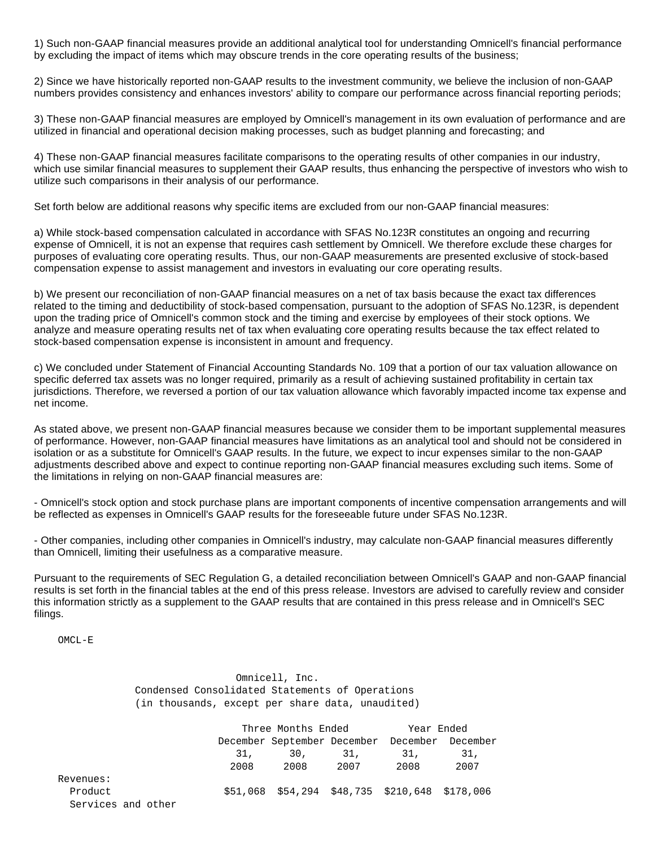1) Such non-GAAP financial measures provide an additional analytical tool for understanding Omnicell's financial performance by excluding the impact of items which may obscure trends in the core operating results of the business;

2) Since we have historically reported non-GAAP results to the investment community, we believe the inclusion of non-GAAP numbers provides consistency and enhances investors' ability to compare our performance across financial reporting periods;

3) These non-GAAP financial measures are employed by Omnicell's management in its own evaluation of performance and are utilized in financial and operational decision making processes, such as budget planning and forecasting; and

4) These non-GAAP financial measures facilitate comparisons to the operating results of other companies in our industry, which use similar financial measures to supplement their GAAP results, thus enhancing the perspective of investors who wish to utilize such comparisons in their analysis of our performance.

Set forth below are additional reasons why specific items are excluded from our non-GAAP financial measures:

a) While stock-based compensation calculated in accordance with SFAS No.123R constitutes an ongoing and recurring expense of Omnicell, it is not an expense that requires cash settlement by Omnicell. We therefore exclude these charges for purposes of evaluating core operating results. Thus, our non-GAAP measurements are presented exclusive of stock-based compensation expense to assist management and investors in evaluating our core operating results.

b) We present our reconciliation of non-GAAP financial measures on a net of tax basis because the exact tax differences related to the timing and deductibility of stock-based compensation, pursuant to the adoption of SFAS No.123R, is dependent upon the trading price of Omnicell's common stock and the timing and exercise by employees of their stock options. We analyze and measure operating results net of tax when evaluating core operating results because the tax effect related to stock-based compensation expense is inconsistent in amount and frequency.

c) We concluded under Statement of Financial Accounting Standards No. 109 that a portion of our tax valuation allowance on specific deferred tax assets was no longer required, primarily as a result of achieving sustained profitability in certain tax jurisdictions. Therefore, we reversed a portion of our tax valuation allowance which favorably impacted income tax expense and net income.

As stated above, we present non-GAAP financial measures because we consider them to be important supplemental measures of performance. However, non-GAAP financial measures have limitations as an analytical tool and should not be considered in isolation or as a substitute for Omnicell's GAAP results. In the future, we expect to incur expenses similar to the non-GAAP adjustments described above and expect to continue reporting non-GAAP financial measures excluding such items. Some of the limitations in relying on non-GAAP financial measures are:

- Omnicell's stock option and stock purchase plans are important components of incentive compensation arrangements and will be reflected as expenses in Omnicell's GAAP results for the foreseeable future under SFAS No.123R.

- Other companies, including other companies in Omnicell's industry, may calculate non-GAAP financial measures differently than Omnicell, limiting their usefulness as a comparative measure.

Pursuant to the requirements of SEC Regulation G, a detailed reconciliation between Omnicell's GAAP and non-GAAP financial results is set forth in the financial tables at the end of this press release. Investors are advised to carefully review and consider this information strictly as a supplement to the GAAP results that are contained in this press release and in Omnicell's SEC filings.

OMCL-E

 Omnicell, Inc. Condensed Consolidated Statements of Operations (in thousands, except per share data, unaudited)

|                    |      | Three Months Ended Thear Ended                |      |                                                |      |  |
|--------------------|------|-----------------------------------------------|------|------------------------------------------------|------|--|
|                    |      | December September December December December |      |                                                |      |  |
|                    | 31.  | 30. 31.                                       |      | 31.                                            | 31.  |  |
|                    | 2008 | 2008                                          | 2007 | 2008                                           | 2007 |  |
| Revenues:          |      |                                               |      |                                                |      |  |
| Product            |      |                                               |      | \$51,068 \$54,294 \$48,735 \$210,648 \$178,006 |      |  |
| Services and other |      |                                               |      |                                                |      |  |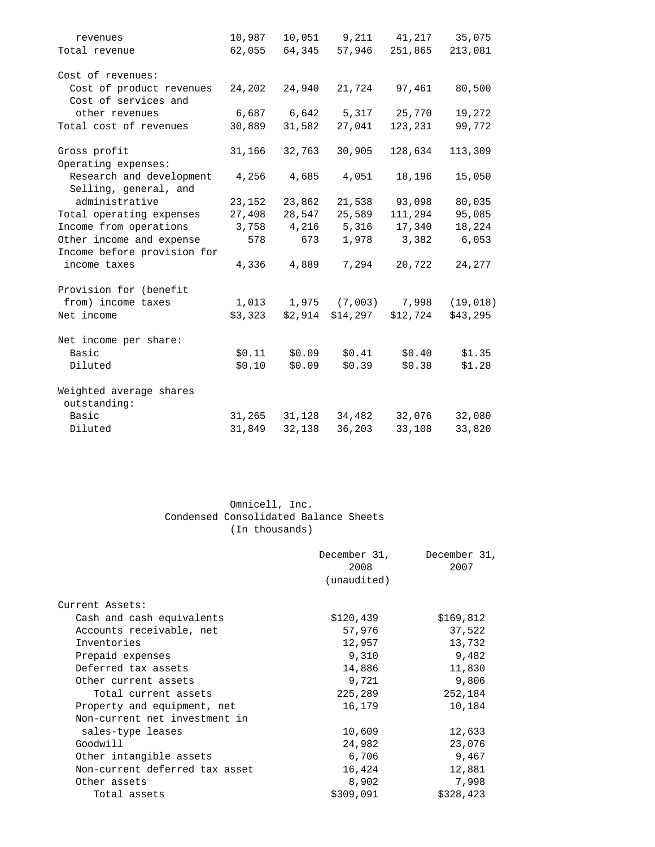| revenues                                                                 | 10,987  |             | 10,051 9,211 41,217 35,075 |          |           |
|--------------------------------------------------------------------------|---------|-------------|----------------------------|----------|-----------|
| Total revenue                                                            | 62,055  | 64,345      | 57,946                     | 251,865  | 213,081   |
| Cost of revenues:                                                        |         |             |                            |          |           |
| Cost of product revenues<br>Cost of services and                         | 24,202  | 24,940      | 21,724                     | 97,461   | 80,500    |
| other revenues                                                           |         | 6,687 6,642 | 5,317                      | 25,770   | 19,272    |
| Total cost of revenues                                                   | 30,889  | 31,582      | 27,041                     | 123,231  | 99,772    |
| Gross profit                                                             | 31,166  | 32,763      | 30,905                     | 128,634  | 113,309   |
| Operating expenses:<br>Research and development<br>Selling, general, and | 4,256   | 4,685       | 4,051                      | 18,196   | 15,050    |
| administrative                                                           | 23,152  | 23,862      | 21,538                     | 93,098   | 80,035    |
| Total operating expenses                                                 | 27,408  | 28,547      | 25,589                     | 111,294  | 95,085    |
| Income from operations                                                   | 3,758   | 4,216       | 5,316                      | 17,340   | 18,224    |
| Other income and expense                                                 | 578     | 673         | 1,978                      | 3,382    | 6,053     |
| Income before provision for                                              |         |             |                            |          |           |
| income taxes                                                             | 4,336   | 4,889       | 7,294                      | 20,722   | 24,277    |
| Provision for (benefit                                                   |         |             |                            |          |           |
| from) income taxes                                                       | 1,013   | 1,975       | (7,003)                    | 7,998    | (19, 018) |
| Net income                                                               | \$3,323 | \$2,914     | \$14,297                   | \$12,724 | \$43,295  |
| Net income per share:                                                    |         |             |                            |          |           |
| Basic                                                                    | \$0.11  | \$0.09      | \$0.41                     | \$0.40   | \$1.35    |
| Diluted                                                                  | \$0.10  | \$0.09      | \$0.39                     | \$0.38   | \$1.28    |
| Weighted average shares<br>outstanding:                                  |         |             |                            |          |           |
| Basic                                                                    | 31,265  | 31,128      | 34,482                     | 32,076   | 32,080    |
| Diluted                                                                  | 31,849  | 32,138      | 36,203                     | 33,108   | 33,820    |
|                                                                          |         |             |                            |          |           |

# Omnicell, Inc. Condensed Consolidated Balance Sheets (In thousands)

|                                | December 31,<br>2008<br>(unaudited) | December 31,<br>2007 |
|--------------------------------|-------------------------------------|----------------------|
| Current Assets:                |                                     |                      |
| Cash and cash equivalents      | \$120,439                           | \$169,812            |
| Accounts receivable, net       | 57,976                              | 37,522               |
| Inventories                    | 12,957                              | 13,732               |
| Prepaid expenses               | 9,310                               | 9,482                |
| Deferred tax assets            | 14,886                              | 11,830               |
| Other current assets           | 9,721                               | 9,806                |
| Total current assets           | 225,289                             | 252,184              |
| Property and equipment, net    | 16,179                              | 10,184               |
| Non-current net investment in  |                                     |                      |
| sales-type leases              | 10,609                              | 12,633               |
| Goodwill                       | 24,982                              | 23,076               |
| Other intangible assets        | 6,706                               | 9,467                |
| Non-current deferred tax asset | 16,424                              | 12,881               |
| Other assets                   | 8,902                               | 7,998                |
| Total assets                   | \$309,091                           | \$328,423            |
|                                |                                     |                      |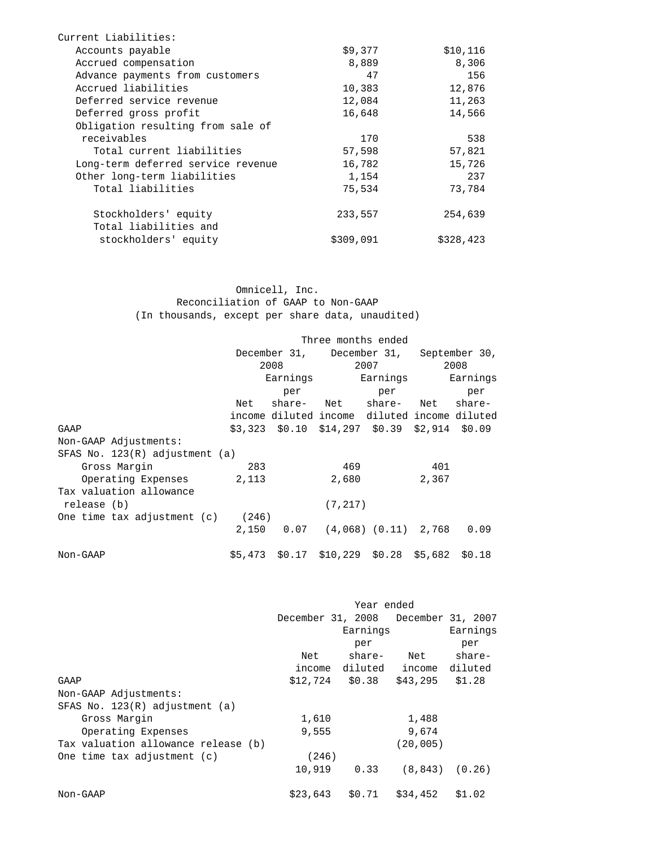| Current Liabilities:               |           |           |
|------------------------------------|-----------|-----------|
| Accounts payable                   | \$9,377   | \$10,116  |
| Accrued compensation               | 8,889     | 8,306     |
| Advance payments from customers    | 47        | 156       |
| Accrued liabilities                | 10,383    | 12,876    |
| Deferred service revenue           | 12,084    | 11,263    |
| Deferred gross profit              | 16,648    | 14,566    |
| Obligation resulting from sale of  |           |           |
| receivables                        | 170       | 538       |
| Total current liabilities          | 57,598    | 57,821    |
| Long-term deferred service revenue | 16,782    | 15,726    |
| Other long-term liabilities        | 1,154     | 237       |
| Total liabilities                  | 75,534    | 73,784    |
| Stockholders' equity               | 233,557   | 254,639   |
| Total liabilities and              |           |           |
| stockholders' equity               | \$309,091 | \$328,423 |

 Omnicell, Inc. Reconciliation of GAAP to Non-GAAP (In thousands, except per share data, unaudited)

|                                     | Three months ended                              |                                                     |                   |                         |       |          |
|-------------------------------------|-------------------------------------------------|-----------------------------------------------------|-------------------|-------------------------|-------|----------|
|                                     | December 31, December 31, September 30,<br>2008 |                                                     |                   |                         |       |          |
|                                     |                                                 |                                                     |                   | 2007                    |       | 2008     |
|                                     | Earnings                                        |                                                     |                   | Earnings                |       | Earnings |
|                                     |                                                 | per                                                 |                   | per                     |       | per      |
|                                     | Net                                             |                                                     | share- Net share- |                         | Net   | share-   |
|                                     |                                                 | income diluted income diluted income diluted        |                   |                         |       |          |
| GAAP                                |                                                 | $$3,323$ $$0.10$ $$14,297$ $$0.39$ $$2,914$ $$0.09$ |                   |                         |       |          |
| Non-GAAP Adjustments:               |                                                 |                                                     |                   |                         |       |          |
| SFAS No. $123(R)$ adjustment (a)    |                                                 |                                                     |                   |                         |       |          |
| Gross Margin                        | 283                                             |                                                     | 469               |                         | 401   |          |
| Operating Expenses                  | 2,113                                           |                                                     | 2,680             |                         | 2,367 |          |
| Tax valuation allowance             |                                                 |                                                     |                   |                         |       |          |
| release (b)                         |                                                 |                                                     | (7, 217)          |                         |       |          |
| One time tax adjustment $(c)$ (246) |                                                 |                                                     |                   |                         |       |          |
|                                     |                                                 | 2,150 0.07 (4,068) (0.11) 2,768                     |                   |                         |       | 0.09     |
| Non-GAAP                            |                                                 | \$5,473 \$0.17                                      |                   | \$10,229 \$0.28 \$5,682 |       | \$0.18   |

|                                     | Year ended |                                     |           |          |  |
|-------------------------------------|------------|-------------------------------------|-----------|----------|--|
|                                     |            | December 31, 2008 December 31, 2007 |           |          |  |
|                                     |            | Earnings                            |           | Earnings |  |
|                                     |            | per                                 |           | per      |  |
|                                     | Net        | share-                              | Net       | share-   |  |
|                                     |            | income diluted income diluted       |           |          |  |
| GAAP                                |            | $$12,724$ $$0.38$                   | \$43,295  | \$1.28   |  |
| Non-GAAP Adjustments:               |            |                                     |           |          |  |
| SFAS No. $123(R)$ adjustment (a)    |            |                                     |           |          |  |
| Gross Margin                        | 1,610      |                                     | 1,488     |          |  |
| Operating Expenses                  | 9,555      |                                     | 9,674     |          |  |
| Tax valuation allowance release (b) |            |                                     | (20, 005) |          |  |
| One time tax adjustment (c)         | (246)      |                                     |           |          |  |
|                                     | 10,919     | 0.33                                | (8, 843)  | (0.26)   |  |
| Non-GAAP                            | \$23,643   | \$0.71                              | \$34,452  | \$1.02   |  |